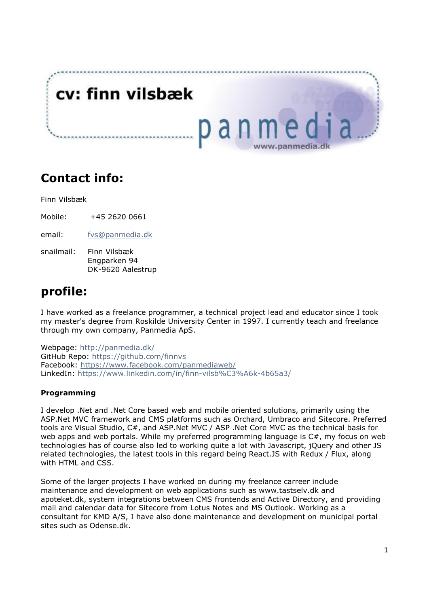

### **Contact info:**

Finn Vilsbæk

Mobile: +45 2620 0661

email: [fvs@panmedia.dk](mailto:fvs@panmedia.dk)

snailmail: Finn Vilsbæk Engparken 94 DK-9620 Aalestrup

## **profile:**

I have worked as a freelance programmer, a technical project lead and educator since I took my master's degree from Roskilde University Center in 1997. I currently teach and freelance through my own company, Panmedia ApS.

Webpage:<http://panmedia.dk/> GitHub Repo:<https://github.com/finnvs> Facebook:<https://www.facebook.com/panmediaweb/> LinkedIn:<https://www.linkedin.com/in/finn-vilsb%C3%A6k-4b65a3/>

### **Programming**

I develop .Net and .Net Core based web and mobile oriented solutions, primarily using the ASP.Net MVC framework and CMS platforms such as Orchard, Umbraco and Sitecore. Preferred tools are Visual Studio, C#, and ASP.Net MVC / ASP .Net Core MVC as the technical basis for web apps and web portals. While my preferred programming language is  $C#$ , my focus on web technologies has of course also led to working quite a lot with Javascript, jQuery and other JS related technologies, the latest tools in this regard being React.JS with Redux / Flux, along with HTML and CSS.

Some of the larger projects I have worked on during my freelance carreer include maintenance and development on web applications such as [www.tastselv.dk a](http://www.tastselv.dk/)nd apoteket.dk, system integrations between CMS frontends and Active Directory, and providing mail and calendar data for Sitecore from Lotus Notes and MS Outlook. Working as a consultant for KMD A/S, I have also done maintenance and development on municipal portal sites such as Odense.dk.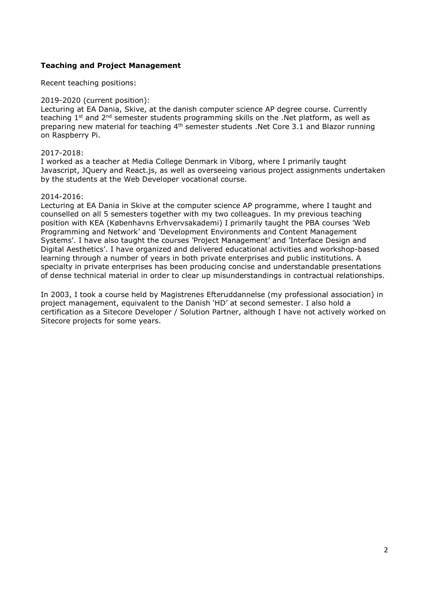#### **Teaching and Project Management**

Recent teaching positions:

#### 2019-2020 (current position):

Lecturing at EA Dania, Skive, at the danish computer science AP degree course. Currently teaching  $1<sup>st</sup>$  and  $2<sup>nd</sup>$  semester students programming skills on the .Net platform, as well as preparing new material for teaching 4<sup>th</sup> semester students .Net Core 3.1 and Blazor running on Raspberry Pi.

#### 2017-2018:

I worked as a teacher at Media College Denmark in Viborg, where I primarily taught Javascript, JQuery and React.js, as well as overseeing various project assignments undertaken by the students at the Web Developer vocational course.

#### 2014-2016:

Lecturing at EA Dania in Skive at the computer science AP programme, where I taught and counselled on all 5 semesters together with my two colleagues. In my previous teaching position with KEA (Københavns Erhvervsakademi) I primarily taught the PBA courses 'Web Programming and Network' and 'Development Environments and Content Management Systems'. I have also taught the courses 'Project Management' and 'Interface Design and Digital Aesthetics'. I have organized and delivered educational activities and workshop-based learning through a number of years in both private enterprises and public institutions. A specialty in private enterprises has been producing concise and understandable presentations of dense technical material in order to clear up misunderstandings in contractual relationships.

In 2003, I took a course held by Magistrenes Efteruddannelse (my professional association) in project management, equivalent to the Danish 'HD' at second semester. I also hold a certification as a Sitecore Developer / Solution Partner, although I have not actively worked on Sitecore projects for some years.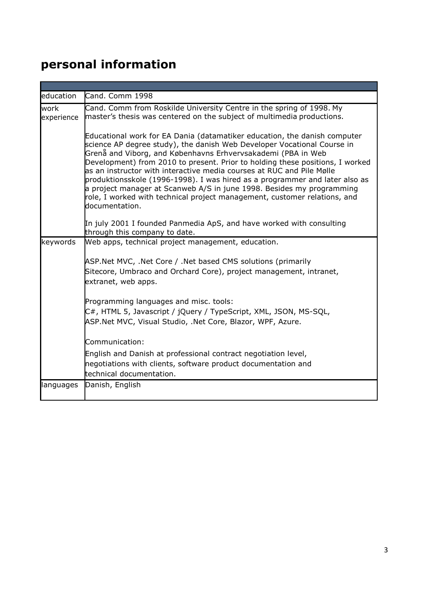# **personal information**

| education          | Cand. Comm 1998                                                                                                                                                                                                                                                                                                                                                                                                                                                                                                                                                                                                                        |
|--------------------|----------------------------------------------------------------------------------------------------------------------------------------------------------------------------------------------------------------------------------------------------------------------------------------------------------------------------------------------------------------------------------------------------------------------------------------------------------------------------------------------------------------------------------------------------------------------------------------------------------------------------------------|
| work<br>experience | Cand. Comm from Roskilde University Centre in the spring of 1998. My<br>master's thesis was centered on the subject of multimedia productions.                                                                                                                                                                                                                                                                                                                                                                                                                                                                                         |
|                    | Educational work for EA Dania (datamatiker education, the danish computer<br>science AP degree study), the danish Web Developer Vocational Course in<br>Grenå and Viborg, and Københavns Erhvervsakademi (PBA in Web<br>Development) from 2010 to present. Prior to holding these positions, I worked<br>las an instructor with interactive media courses at RUC and Pile Mølle<br>produktionsskole (1996-1998). I was hired as a programmer and later also as<br>a project manager at Scanweb A/S in june 1998. Besides my programming<br>role, I worked with technical project management, customer relations, and<br>documentation. |
|                    | In july 2001 I founded Panmedia ApS, and have worked with consulting<br>through this company to date.                                                                                                                                                                                                                                                                                                                                                                                                                                                                                                                                  |
| keywords           | Web apps, technical project management, education.                                                                                                                                                                                                                                                                                                                                                                                                                                                                                                                                                                                     |
|                    | ASP.Net MVC, .Net Core / .Net based CMS solutions (primarily<br>Sitecore, Umbraco and Orchard Core), project management, intranet,<br>extranet, web apps.                                                                                                                                                                                                                                                                                                                                                                                                                                                                              |
|                    | Programming languages and misc. tools:<br>C#, HTML 5, Javascript / jQuery / TypeScript, XML, JSON, MS-SQL,<br>ASP.Net MVC, Visual Studio, .Net Core, Blazor, WPF, Azure.                                                                                                                                                                                                                                                                                                                                                                                                                                                               |
|                    | Communication:                                                                                                                                                                                                                                                                                                                                                                                                                                                                                                                                                                                                                         |
|                    | English and Danish at professional contract negotiation level,<br>negotiations with clients, software product documentation and<br>technical documentation.                                                                                                                                                                                                                                                                                                                                                                                                                                                                            |
| languages          | Danish, English                                                                                                                                                                                                                                                                                                                                                                                                                                                                                                                                                                                                                        |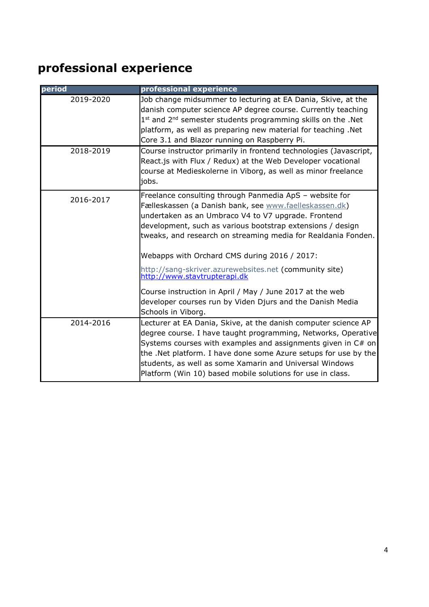# **professional experience**

| period    | professional experience                                                                                                                                                                                                                                                                                                                                                                                                                                                                                                                                                                          |
|-----------|--------------------------------------------------------------------------------------------------------------------------------------------------------------------------------------------------------------------------------------------------------------------------------------------------------------------------------------------------------------------------------------------------------------------------------------------------------------------------------------------------------------------------------------------------------------------------------------------------|
| 2019-2020 | Job change midsummer to lecturing at EA Dania, Skive, at the<br>danish computer science AP degree course. Currently teaching<br>1st and 2 <sup>nd</sup> semester students programming skills on the .Net<br>platform, as well as preparing new material for teaching .Net<br>Core 3.1 and Blazor running on Raspberry Pi.                                                                                                                                                                                                                                                                        |
| 2018-2019 | Course instructor primarily in frontend technologies (Javascript,<br>React.js with Flux / Redux) at the Web Developer vocational<br>course at Medieskolerne in Viborg, as well as minor freelance<br>jobs.                                                                                                                                                                                                                                                                                                                                                                                       |
| 2016-2017 | Freelance consulting through Panmedia ApS - website for<br>Fælleskassen (a Danish bank, see www.faelleskassen.dk)<br>undertaken as an Umbraco V4 to V7 upgrade. Frontend<br>development, such as various bootstrap extensions / design<br>tweaks, and research on streaming media for Realdania Fonden.<br>Webapps with Orchard CMS during 2016 / 2017:<br>http://sang-skriver.azurewebsites.net (community site)<br>http://www.stavtrupterapi.dk<br>Course instruction in April / May / June 2017 at the web<br>developer courses run by Viden Djurs and the Danish Media<br>Schools in Viborg. |
| 2014-2016 | Lecturer at EA Dania, Skive, at the danish computer science AP<br>degree course. I have taught programming, Networks, Operative<br>Systems courses with examples and assignments given in C# on<br>the .Net platform. I have done some Azure setups for use by the<br>students, as well as some Xamarin and Universal Windows<br>Platform (Win 10) based mobile solutions for use in class.                                                                                                                                                                                                      |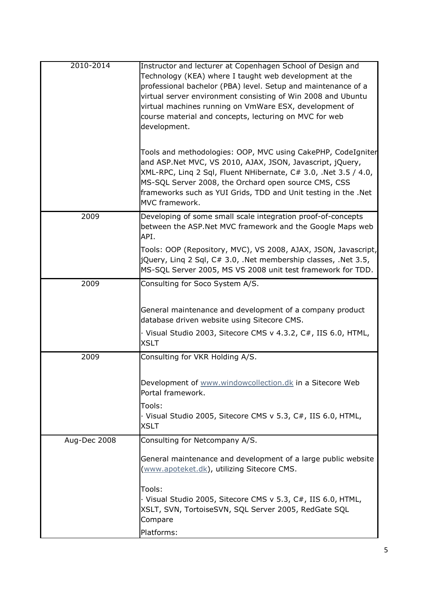| 2010-2014    | Instructor and lecturer at Copenhagen School of Design and<br>Technology (KEA) where I taught web development at the<br>professional bachelor (PBA) level. Setup and maintenance of a<br>virtual server environment consisting of Win 2008 and Ubuntu<br>virtual machines running on VmWare ESX, development of<br>course material and concepts, lecturing on MVC for web<br>development.<br>Tools and methodologies: OOP, MVC using CakePHP, CodeIgniter<br>and ASP.Net MVC, VS 2010, AJAX, JSON, Javascript, jQuery, |
|--------------|------------------------------------------------------------------------------------------------------------------------------------------------------------------------------------------------------------------------------------------------------------------------------------------------------------------------------------------------------------------------------------------------------------------------------------------------------------------------------------------------------------------------|
|              | XML-RPC, Ling 2 Sql, Fluent NHibernate, C# 3.0, .Net 3.5 / 4.0,<br>MS-SQL Server 2008, the Orchard open source CMS, CSS<br>frameworks such as YUI Grids, TDD and Unit testing in the .Net<br>MVC framework.                                                                                                                                                                                                                                                                                                            |
| 2009         | Developing of some small scale integration proof-of-concepts<br>between the ASP.Net MVC framework and the Google Maps web<br>API.                                                                                                                                                                                                                                                                                                                                                                                      |
|              | Tools: OOP (Repository, MVC), VS 2008, AJAX, JSON, Javascript,<br>$jQuery$ , Ling 2 Sql, C# 3.0, .Net membership classes, .Net 3.5,<br>MS-SQL Server 2005, MS VS 2008 unit test framework for TDD.                                                                                                                                                                                                                                                                                                                     |
| 2009         | Consulting for Soco System A/S.                                                                                                                                                                                                                                                                                                                                                                                                                                                                                        |
|              | General maintenance and development of a company product<br>database driven website using Sitecore CMS.                                                                                                                                                                                                                                                                                                                                                                                                                |
|              | · Visual Studio 2003, Sitecore CMS v 4.3.2, C#, IIS 6.0, HTML,<br><b>XSLT</b>                                                                                                                                                                                                                                                                                                                                                                                                                                          |
| 2009         | Consulting for VKR Holding A/S.                                                                                                                                                                                                                                                                                                                                                                                                                                                                                        |
|              | Development of www.windowcollection.dk in a Sitecore Web<br>Portal framework.                                                                                                                                                                                                                                                                                                                                                                                                                                          |
|              | Tools:<br>· Visual Studio 2005, Sitecore CMS v 5.3, C#, IIS 6.0, HTML,<br><b>XSLT</b>                                                                                                                                                                                                                                                                                                                                                                                                                                  |
| Aug-Dec 2008 | Consulting for Netcompany A/S.                                                                                                                                                                                                                                                                                                                                                                                                                                                                                         |
|              | General maintenance and development of a large public website<br>(www.apoteket.dk), utilizing Sitecore CMS.                                                                                                                                                                                                                                                                                                                                                                                                            |
|              | Tools:<br>· Visual Studio 2005, Sitecore CMS v 5.3, C#, IIS 6.0, HTML,<br>XSLT, SVN, TortoiseSVN, SQL Server 2005, RedGate SQL<br>Compare                                                                                                                                                                                                                                                                                                                                                                              |
|              | Platforms:                                                                                                                                                                                                                                                                                                                                                                                                                                                                                                             |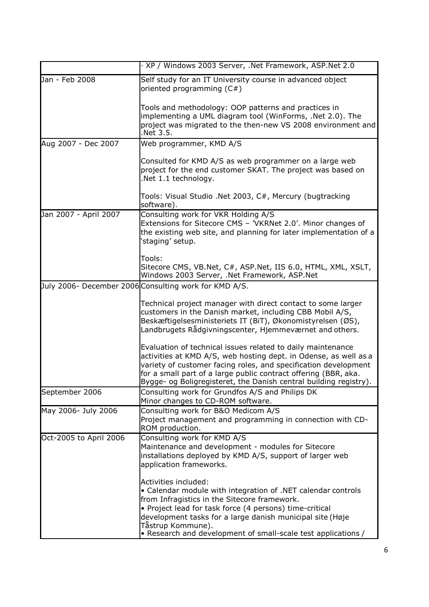|                        | · XP / Windows 2003 Server, .Net Framework, ASP.Net 2.0                                                                                                                                                                                                                                                                                            |
|------------------------|----------------------------------------------------------------------------------------------------------------------------------------------------------------------------------------------------------------------------------------------------------------------------------------------------------------------------------------------------|
| Jan - Feb 2008         | Self study for an IT University course in advanced object<br>oriented programming $(C#)$                                                                                                                                                                                                                                                           |
|                        | Tools and methodology: OOP patterns and practices in<br>implementing a UML diagram tool (WinForms, .Net 2.0). The<br>project was migrated to the then-new VS 2008 environment and<br>Net 3.5.                                                                                                                                                      |
| Aug 2007 - Dec 2007    | Web programmer, KMD A/S                                                                                                                                                                                                                                                                                                                            |
|                        | Consulted for KMD A/S as web programmer on a large web<br>project for the end customer SKAT. The project was based on<br>.Net 1.1 technology.                                                                                                                                                                                                      |
|                        | Tools: Visual Studio .Net 2003, C#, Mercury (bugtracking<br>software).                                                                                                                                                                                                                                                                             |
| Jan 2007 - April 2007  | Consulting work for VKR Holding A/S<br>Extensions for Sitecore CMS - 'VKRNet 2.0'. Minor changes of<br>the existing web site, and planning for later implementation of a<br>'staging' setup.                                                                                                                                                       |
|                        | Tools:<br>Sitecore CMS, VB.Net, C#, ASP.Net, IIS 6.0, HTML, XML, XSLT,<br>Windows 2003 Server, .Net Framework, ASP.Net                                                                                                                                                                                                                             |
|                        | July 2006- December 2006 Consulting work for KMD A/S.                                                                                                                                                                                                                                                                                              |
|                        | Technical project manager with direct contact to some larger<br>customers in the Danish market, including CBB Mobil A/S,<br>Beskæftigelsesministeriets IT (BiT), Økonomistyrelsen (ØS),<br>Landbrugets Rådgivningscenter, Hjemmeværnet and others.                                                                                                 |
|                        | Evaluation of technical issues related to daily maintenance<br>activities at KMD A/S, web hosting dept. in Odense, as well as a<br>variety of customer facing roles, and specification development<br>for a small part of a large public contract offering (BBR, aka.<br>Bygge- og Boligregisteret, the Danish central building registry).         |
| September 2006         | Consulting work for Grundfos A/S and Philips DK<br>Minor changes to CD-ROM software.                                                                                                                                                                                                                                                               |
| May 2006- July 2006    | Consulting work for B&O Medicom A/S<br>Project management and programming in connection with CD-<br>ROM production.                                                                                                                                                                                                                                |
| Oct-2005 to April 2006 | Consulting work for KMD A/S<br>Maintenance and development - modules for Sitecore<br>installations deployed by KMD A/S, support of larger web<br>application frameworks.                                                                                                                                                                           |
|                        | Activities included:<br>• Calendar module with integration of .NET calendar controls<br>from Infragistics in the Sitecore framework.<br>• Project lead for task force (4 persons) time-critical<br>development tasks for a large danish municipal site (Høje<br>Tåstrup Kommune).<br>• Research and development of small-scale test applications / |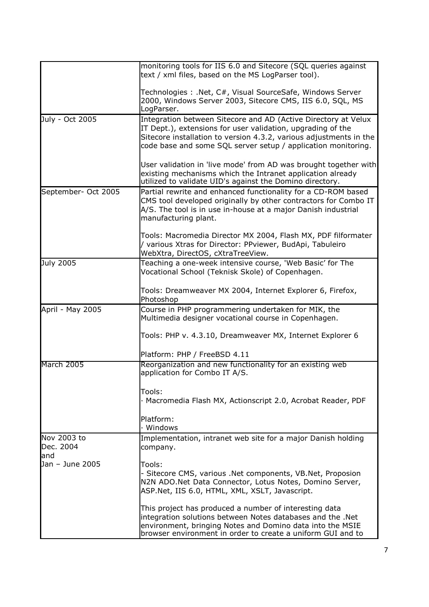|                                  | monitoring tools for IIS 6.0 and Sitecore (SQL queries against<br>text / xml files, based on the MS LogParser tool).                                                                                                                                                 |
|----------------------------------|----------------------------------------------------------------------------------------------------------------------------------------------------------------------------------------------------------------------------------------------------------------------|
|                                  | Technologies: .Net, C#, Visual SourceSafe, Windows Server<br>2000, Windows Server 2003, Sitecore CMS, IIS 6.0, SQL, MS<br>LogParser.                                                                                                                                 |
| July - Oct 2005                  | Integration between Sitecore and AD (Active Directory at Velux<br>IT Dept.), extensions for user validation, upgrading of the<br>Sitecore installation to version 4.3.2, various adjustments in the<br>code base and some SQL server setup / application monitoring. |
|                                  | User validation in 'live mode' from AD was brought together with<br>existing mechanisms which the Intranet application already<br>utilized to validate UID's against the Domino directory.                                                                           |
| September- Oct 2005              | Partial rewrite and enhanced functionality for a CD-ROM based<br>CMS tool developed originally by other contractors for Combo IT<br>A/S. The tool is in use in-house at a major Danish industrial<br>manufacturing plant.                                            |
|                                  | Tools: Macromedia Director MX 2004, Flash MX, PDF filformater<br>/ various Xtras for Director: PPviewer, BudApi, Tabuleiro<br>WebXtra, DirectOS, cXtraTreeView.                                                                                                      |
| July 2005                        | Teaching a one-week intensive course, 'Web Basic' for The<br>Vocational School (Teknisk Skole) of Copenhagen.                                                                                                                                                        |
|                                  | Tools: Dreamweaver MX 2004, Internet Explorer 6, Firefox,<br>Photoshop                                                                                                                                                                                               |
| April - May 2005                 | Course in PHP programmering undertaken for MIK, the<br>Multimedia designer vocational course in Copenhagen.                                                                                                                                                          |
|                                  | Tools: PHP v. 4.3.10, Dreamweaver MX, Internet Explorer 6                                                                                                                                                                                                            |
|                                  | Platform: PHP / FreeBSD 4.11                                                                                                                                                                                                                                         |
| March 2005                       | Reorganization and new functionality for an existing web<br>application for Combo IT A/S.                                                                                                                                                                            |
|                                  | Tools:                                                                                                                                                                                                                                                               |
|                                  | · Macromedia Flash MX, Actionscript 2.0, Acrobat Reader, PDF                                                                                                                                                                                                         |
|                                  | Platform:<br>· Windows                                                                                                                                                                                                                                               |
| Nov 2003 to<br>Dec. 2004<br>land | Implementation, intranet web site for a major Danish holding<br>company.                                                                                                                                                                                             |
| Jan - June 2005                  | Tools:<br>- Sitecore CMS, various .Net components, VB.Net, Proposion<br>N2N ADO.Net Data Connector, Lotus Notes, Domino Server,<br>ASP.Net, IIS 6.0, HTML, XML, XSLT, Javascript.                                                                                    |
|                                  | This project has produced a number of interesting data<br>integration solutions between Notes databases and the .Net<br>environment, bringing Notes and Domino data into the MSIE<br>browser environment in order to create a uniform GUI and to                     |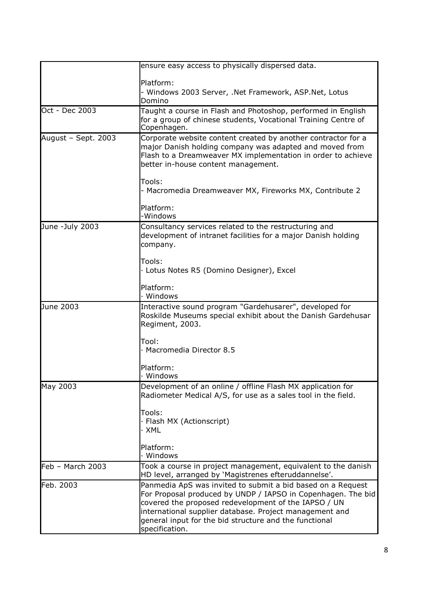|                     | ensure easy access to physically dispersed data.                                                                                                                                                                                                                                                                           |
|---------------------|----------------------------------------------------------------------------------------------------------------------------------------------------------------------------------------------------------------------------------------------------------------------------------------------------------------------------|
|                     | Platform:<br>- Windows 2003 Server, .Net Framework, ASP.Net, Lotus<br>Domino                                                                                                                                                                                                                                               |
| Oct - Dec 2003      | Taught a course in Flash and Photoshop, performed in English<br>for a group of chinese students, Vocational Training Centre of<br>Copenhagen.                                                                                                                                                                              |
| August - Sept. 2003 | Corporate website content created by another contractor for a<br>major Danish holding company was adapted and moved from<br>Flash to a Dreamweaver MX implementation in order to achieve<br>better in-house content management.                                                                                            |
|                     | Tools:<br>- Macromedia Dreamweaver MX, Fireworks MX, Contribute 2                                                                                                                                                                                                                                                          |
|                     | Platform:<br>-Windows                                                                                                                                                                                                                                                                                                      |
| June -July 2003     | Consultancy services related to the restructuring and<br>development of intranet facilities for a major Danish holding<br>company.                                                                                                                                                                                         |
|                     | Tools:<br>· Lotus Notes R5 (Domino Designer), Excel                                                                                                                                                                                                                                                                        |
|                     | Platform:<br>· Windows                                                                                                                                                                                                                                                                                                     |
| June 2003           | Interactive sound program "Gardehusarer", developed for<br>Roskilde Museums special exhibit about the Danish Gardehusar<br>Regiment, 2003.                                                                                                                                                                                 |
|                     | Tool:<br>· Macromedia Director 8.5                                                                                                                                                                                                                                                                                         |
|                     | Platform:<br>· Windows                                                                                                                                                                                                                                                                                                     |
| May 2003            | Development of an online / offline Flash MX application for<br>Radiometer Medical A/S, for use as a sales tool in the field.                                                                                                                                                                                               |
|                     | Tools:<br>· Flash MX (Actionscript)<br>· XML                                                                                                                                                                                                                                                                               |
|                     | Platform:<br>· Windows                                                                                                                                                                                                                                                                                                     |
| Feb - March 2003    | Took a course in project management, equivalent to the danish<br>HD level, arranged by 'Magistrenes efteruddannelse'.                                                                                                                                                                                                      |
| Feb. 2003           | Panmedia ApS was invited to submit a bid based on a Request<br>For Proposal produced by UNDP / IAPSO in Copenhagen. The bid<br>covered the proposed redevelopment of the IAPSO / UN<br>international supplier database. Project management and<br>general input for the bid structure and the functional<br>specification. |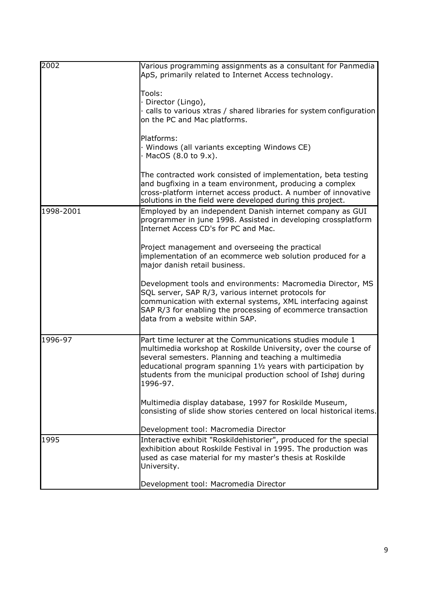| 2002      | Various programming assignments as a consultant for Panmedia<br>ApS, primarily related to Internet Access technology.<br>Tools:<br>· Director (Lingo),<br>calls to various xtras / shared libraries for system configuration<br>on the PC and Mac platforms.<br>Platforms:<br>· Windows (all variants excepting Windows CE)<br>$\cdot$ MacOS (8.0 to 9.x).<br>The contracted work consisted of implementation, beta testing |
|-----------|-----------------------------------------------------------------------------------------------------------------------------------------------------------------------------------------------------------------------------------------------------------------------------------------------------------------------------------------------------------------------------------------------------------------------------|
|           | and bugfixing in a team environment, producing a complex<br>cross-platform internet access product. A number of innovative<br>solutions in the field were developed during this project.                                                                                                                                                                                                                                    |
| 1998-2001 | Employed by an independent Danish internet company as GUI<br>programmer in june 1998. Assisted in developing crossplatform<br>Internet Access CD's for PC and Mac.                                                                                                                                                                                                                                                          |
|           | Project management and overseeing the practical<br>implementation of an ecommerce web solution produced for a<br>major danish retail business.                                                                                                                                                                                                                                                                              |
|           | Development tools and environments: Macromedia Director, MS<br>SQL server, SAP R/3, various internet protocols for<br>communication with external systems, XML interfacing against<br>SAP R/3 for enabling the processing of ecommerce transaction<br>data from a website within SAP.                                                                                                                                       |
| 1996-97   | Part time lecturer at the Communications studies module 1<br>multimedia workshop at Roskilde University, over the course of<br>several semesters. Planning and teaching a multimedia<br>educational program spanning 11/2 years with participation by<br>students from the municipal production school of Ishøj during<br>1996-97.                                                                                          |
|           | Multimedia display database, 1997 for Roskilde Museum,<br>consisting of slide show stories centered on local historical items.                                                                                                                                                                                                                                                                                              |
|           | Development tool: Macromedia Director                                                                                                                                                                                                                                                                                                                                                                                       |
| 1995      | Interactive exhibit "Roskildehistorier", produced for the special<br>exhibition about Roskilde Festival in 1995. The production was<br>used as case material for my master's thesis at Roskilde<br>University.                                                                                                                                                                                                              |
|           | Development tool: Macromedia Director                                                                                                                                                                                                                                                                                                                                                                                       |